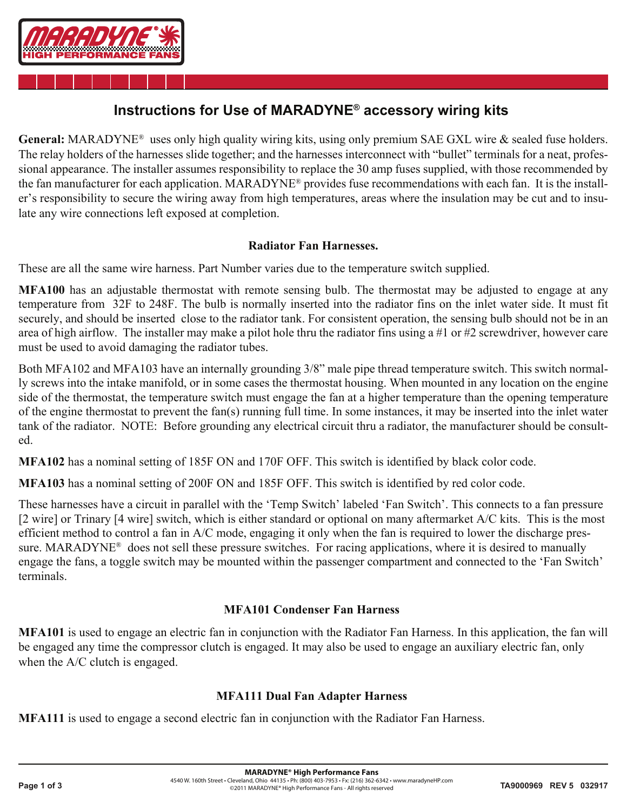

## **Instructions for Use of MARADYNE® accessory wiring kits**

General: MARADYNE<sup>®</sup> uses only high quality wiring kits, using only premium SAE GXL wire & sealed fuse holders. The relay holders of the harnesses slide together; and the harnesses interconnect with "bullet" terminals for a neat, professional appearance. The installer assumes responsibility to replace the 30 amp fuses supplied, with those recommended by the fan manufacturer for each application. MARADYNE® provides fuse recommendations with each fan. It is the installer's responsibility to secure the wiring away from high temperatures, areas where the insulation may be cut and to insulate any wire connections left exposed at completion.

### **Radiator Fan Harnesses.**

These are all the same wire harness. Part Number varies due to the temperature switch supplied.

**MFA100** has an adjustable thermostat with remote sensing bulb. The thermostat may be adjusted to engage at any temperature from 32F to 248F. The bulb is normally inserted into the radiator fins on the inlet water side. It must fit securely, and should be inserted close to the radiator tank. For consistent operation, the sensing bulb should not be in an area of high airflow. The installer may make a pilot hole thru the radiator fins using a #1 or #2 screwdriver, however care must be used to avoid damaging the radiator tubes.

Both MFA102 and MFA103 have an internally grounding 3/8" male pipe thread temperature switch. This switch normally screws into the intake manifold, or in some cases the thermostat housing. When mounted in any location on the engine side of the thermostat, the temperature switch must engage the fan at a higher temperature than the opening temperature of the engine thermostat to prevent the fan(s) running full time. In some instances, it may be inserted into the inlet water tank of the radiator. NOTE: Before grounding any electrical circuit thru a radiator, the manufacturer should be consulted.

**MFA102** has a nominal setting of 185F ON and 170F OFF. This switch is identified by black color code.

**MFA103** has a nominal setting of 200F ON and 185F OFF. This switch is identified by red color code.

These harnesses have a circuit in parallel with the 'Temp Switch' labeled 'Fan Switch'. This connects to a fan pressure [2 wire] or Trinary [4 wire] switch, which is either standard or optional on many aftermarket A/C kits. This is the most efficient method to control a fan in A/C mode, engaging it only when the fan is required to lower the discharge pressure. MARADYNE<sup>®</sup> does not sell these pressure switches. For racing applications, where it is desired to manually engage the fans, a toggle switch may be mounted within the passenger compartment and connected to the 'Fan Switch' terminals.

## **MFA101 Condenser Fan Harness**

**MFA101** is used to engage an electric fan in conjunction with the Radiator Fan Harness. In this application, the fan will be engaged any time the compressor clutch is engaged. It may also be used to engage an auxiliary electric fan, only when the A/C clutch is engaged.

## **MFA111 Dual Fan Adapter Harness**

**MFA111** is used to engage a second electric fan in conjunction with the Radiator Fan Harness.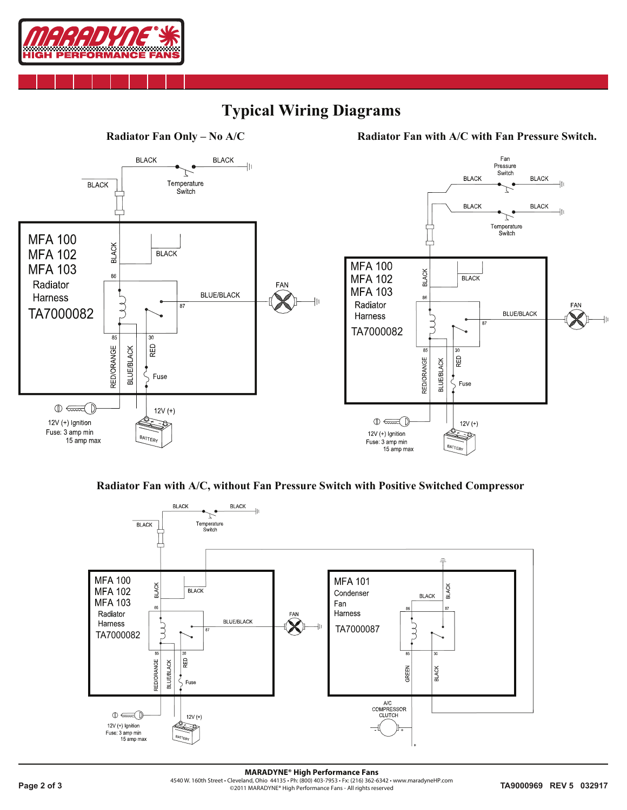

# **Typical Wiring Diagrams**



#### **Radiator Fan with A/C, without Fan Pressure Switch with Positive Switched Compressor**



**Page 2 of 3 TA9000969 REV 5 032917 CONSIDERING CONSIDERING CONSIDERING CONSIDERATIVE CONSIDERING CONSIDERATIVE CONSIDERATIVE CONSIDERATIVE CONSIDERATIVE CONSIDERATIVE CONSIDERATIVE CONSIDERATIVE FANCO CONSIDERATIVE CO MARADYNE® High Performance Fans** 4540 W. 160th Street • Cleveland, Ohio 44135 • Ph: (800) 403-7953 • Fx: (216) 362-6342 • www.maradyneHP.com